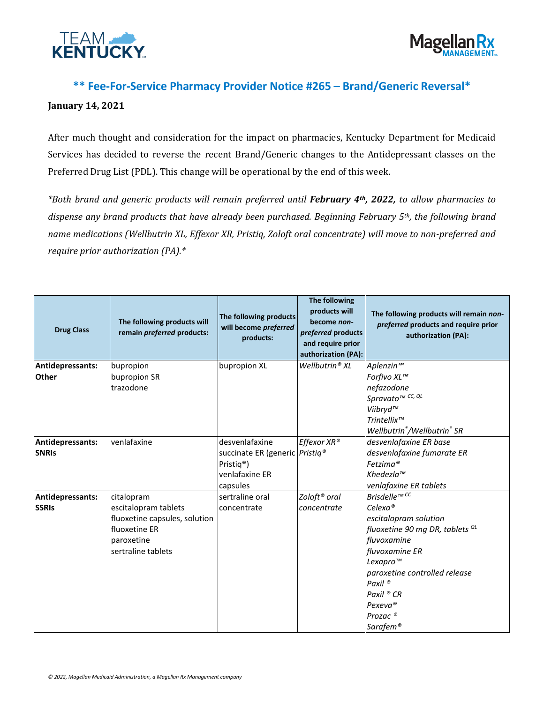



## **\*\* Fee-For-Service Pharmacy Provider Notice #265 – Brand/Generic Reversal\***

## **January 14, 2021**

After much thought and consideration for the impact on pharmacies, Kentucky Department for Medicaid Services has decided to reverse the recent Brand/Generic changes to the Antidepressant classes on the Preferred Drug List (PDL). This change will be operational by the end of this week.

*\*Both brand and generic products will remain preferred until February 4th, 2022, to allow pharmacies to dispense any brand products that have already been purchased. Beginning February 5th, the following brand name medications (Wellbutrin XL, Effexor XR, Pristiq, Zoloft oral concentrate) will move to non-preferred and require prior authorization (PA).\**

| <b>Drug Class</b>                | The following products will<br>remain preferred products:                                                                               | The following products<br>will become preferred<br>products:                                                                | The following<br>products will<br>become non-<br>preferred products<br>and require prior<br>authorization (PA): | The following products will remain non-<br>preferred products and require prior<br>authorization (PA):                                                                                                                                                                                                                       |
|----------------------------------|-----------------------------------------------------------------------------------------------------------------------------------------|-----------------------------------------------------------------------------------------------------------------------------|-----------------------------------------------------------------------------------------------------------------|------------------------------------------------------------------------------------------------------------------------------------------------------------------------------------------------------------------------------------------------------------------------------------------------------------------------------|
| Antidepressants:<br><b>Other</b> | bupropion<br>bupropion SR<br>trazodone                                                                                                  | bupropion XL                                                                                                                | Wellbutrin® XL                                                                                                  | Aplenzin™<br>Forfivo XL™<br>nefazodone<br>Spravato <sup>™ CC, QL</sup><br>Viibryd™<br>Trintellix <sup>™</sup><br>Wellbutrin®/Wellbutrin® SR                                                                                                                                                                                  |
| Antidepressants:<br><b>SNRIS</b> | venlafaxine                                                                                                                             | desvenlafaxine<br>succinate ER (generic <i>Pristiq</i> <sup>®</sup><br>Pristiq <sup>®</sup> )<br>venlafaxine ER<br>capsules | Effexor XR®                                                                                                     | desvenlafaxine ER base<br>desvenlafaxine fumarate ER<br>Fetzima®<br>$K$ hedezla $\mathbb{I}^m$<br>venlafaxine ER tablets                                                                                                                                                                                                     |
| Antidepressants:<br><b>SSRIs</b> | citalopram<br>escitalopram tablets<br>fluoxetine capsules, solution<br><b>fluoxetine ER</b><br><b>lparoxetine</b><br>sertraline tablets | sertraline oral<br>concentrate                                                                                              | Zoloft <sup>®</sup> oral<br>concentrate                                                                         | Brisdelle™ <sup>CC</sup><br>$Celexa$ <sup>®</sup><br>escitalopram solution<br>fluoxetine 90 mg DR, tablets <sup>QL</sup><br>fluvoxamine<br>fluvoxamine ER<br>Lexapro <sup>™</sup><br>paroxetine controlled release<br>Paxil <sup>®</sup><br>Paxil ® CR<br>Pexeva <sup>®</sup><br>Prozac <sup>®</sup><br>Sarafem <sup>®</sup> |